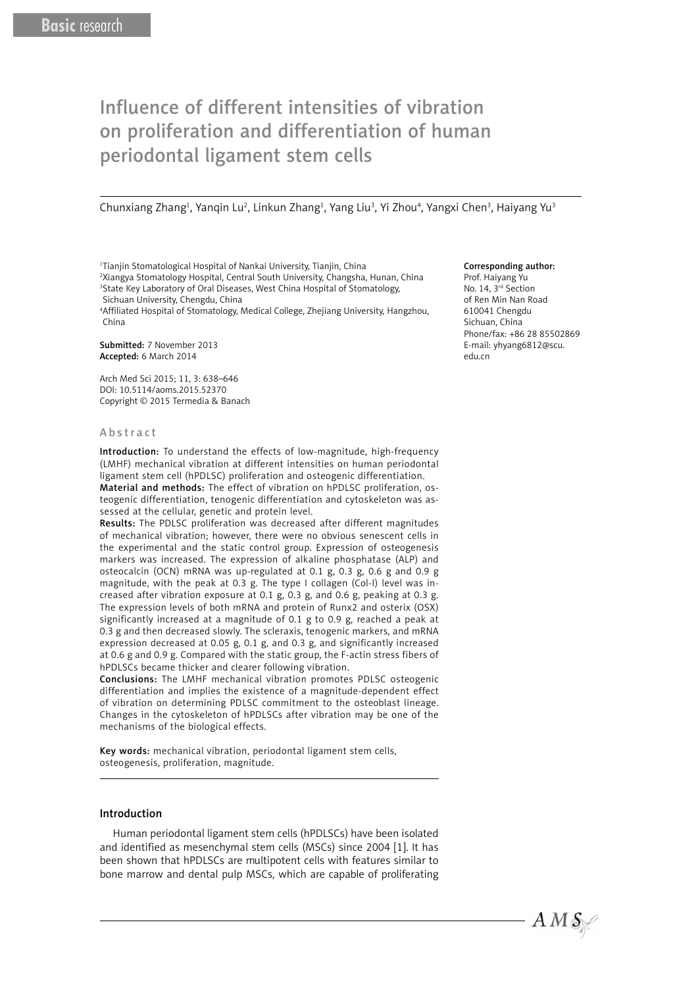# Influence of different intensities of vibration on proliferation and differentiation of human periodontal ligament stem cells

Chunxiang Zhang<sup>1</sup>, Yanqin Lu<sup>2</sup>, Linkun Zhang<sup>1</sup>, Yang Liu<sup>3</sup>, Yi Zhou<sup>4</sup>, Yangxi Chen<sup>3</sup>, Haiyang Yu<sup>3</sup>

1 Tianjin Stomatological Hospital of Nankai University, Tianjin, China

2 Xiangya Stomatology Hospital, Central South University, Changsha, Hunan, China <sup>3</sup>State Key Laboratory of Oral Diseases, West China Hospital of Stomatology, Sichuan University, Chengdu, China

4 Affiliated Hospital of Stomatology, Medical College, Zhejiang University, Hangzhou, China

Submitted: 7 November 2013 Accepted: 6 March 2014

Arch Med Sci 2015; 11, 3: 638–646 DOI: 10.5114/aoms.2015.52370 Copyright © 2015 Termedia & Banach

#### A b s t r a c t

Introduction: To understand the effects of low-magnitude, high-frequency (LMHF) mechanical vibration at different intensities on human periodontal ligament stem cell (hPDLSC) proliferation and osteogenic differentiation.

Material and methods: The effect of vibration on hPDLSC proliferation, osteogenic differentiation, tenogenic differentiation and cytoskeleton was assessed at the cellular, genetic and protein level.

Results: The PDLSC proliferation was decreased after different magnitudes of mechanical vibration; however, there were no obvious senescent cells in the experimental and the static control group. Expression of osteogenesis markers was increased. The expression of alkaline phosphatase (ALP) and osteocalcin (OCN) mRNA was up-regulated at 0.1 g, 0.3 g, 0.6 g and 0.9 g magnitude, with the peak at 0.3 g. The type I collagen (Col-I) level was increased after vibration exposure at 0.1 g, 0.3 g, and 0.6 g, peaking at 0.3 g. The expression levels of both mRNA and protein of Runx2 and osterix (OSX) significantly increased at a magnitude of 0.1 g to 0.9 g, reached a peak at 0.3 g and then decreased slowly. The scleraxis, tenogenic markers, and mRNA expression decreased at 0.05 g, 0.1 g, and 0.3 g, and significantly increased at 0.6 g and 0.9 g. Compared with the static group, the F-actin stress fibers of hPDLSCs became thicker and clearer following vibration.

Conclusions: The LMHF mechanical vibration promotes PDLSC osteogenic differentiation and implies the existence of a magnitude-dependent effect of vibration on determining PDLSC commitment to the osteoblast lineage. Changes in the cytoskeleton of hPDLSCs after vibration may be one of the mechanisms of the biological effects.

Key words: mechanical vibration, periodontal ligament stem cells, osteogenesis, proliferation, magnitude.

## Introduction

Human periodontal ligament stem cells (hPDLSCs) have been isolated and identified as mesenchymal stem cells (MSCs) since 2004 [1]. It has been shown that hPDLSCs are multipotent cells with features similar to bone marrow and dental pulp MSCs, which are capable of proliferating

#### Corresponding author:

Prof. Haiyang Yu No. 14, 3<sup>rd</sup> Section of Ren Min Nan Road 610041 Chengdu Sichuan, China Phone/fax: +86 28 85502869 E-mail: yhyang6812@scu. edu.cn

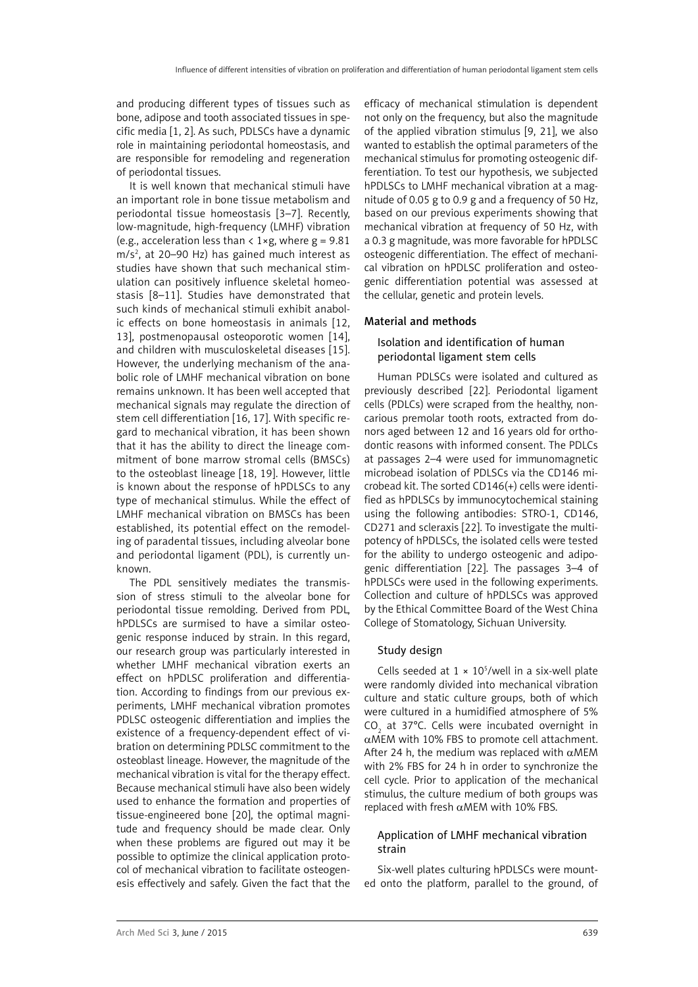and producing different types of tissues such as bone, adipose and tooth associated tissues in specific media [1, 2]. As such, PDLSCs have a dynamic role in maintaining periodontal homeostasis, and are responsible for remodeling and regeneration of periodontal tissues.

It is well known that mechanical stimuli have an important role in bone tissue metabolism and periodontal tissue homeostasis [3–7]. Recently, low-magnitude, high-frequency (LMHF) vibration (e.g., acceleration less than  $\langle 1 \times g$ , where  $g = 9.81$  $m/s<sup>2</sup>$ , at 20–90 Hz) has gained much interest as studies have shown that such mechanical stimulation can positively influence skeletal homeostasis [8–11]. Studies have demonstrated that such kinds of mechanical stimuli exhibit anabolic effects on bone homeostasis in animals [12, 13], postmenopausal osteoporotic women [14], and children with musculoskeletal diseases [15]. However, the underlying mechanism of the anabolic role of LMHF mechanical vibration on bone remains unknown. It has been well accepted that mechanical signals may regulate the direction of stem cell differentiation [16, 17]. With specific regard to mechanical vibration, it has been shown that it has the ability to direct the lineage commitment of bone marrow stromal cells (BMSCs) to the osteoblast lineage [18, 19]. However, little is known about the response of hPDLSCs to any type of mechanical stimulus. While the effect of LMHF mechanical vibration on BMSCs has been established, its potential effect on the remodeling of paradental tissues, including alveolar bone and periodontal ligament (PDL), is currently unknown.

The PDL sensitively mediates the transmission of stress stimuli to the alveolar bone for periodontal tissue remolding. Derived from PDL, hPDLSCs are surmised to have a similar osteogenic response induced by strain. In this regard, our research group was particularly interested in whether LMHF mechanical vibration exerts an effect on hPDLSC proliferation and differentiation. According to findings from our previous experiments, LMHF mechanical vibration promotes PDLSC osteogenic differentiation and implies the existence of a frequency-dependent effect of vibration on determining PDLSC commitment to the osteoblast lineage. However, the magnitude of the mechanical vibration is vital for the therapy effect. Because mechanical stimuli have also been widely used to enhance the formation and properties of tissue-engineered bone [20], the optimal magnitude and frequency should be made clear. Only when these problems are figured out may it be possible to optimize the clinical application protocol of mechanical vibration to facilitate osteogenesis effectively and safely. Given the fact that the efficacy of mechanical stimulation is dependent not only on the frequency, but also the magnitude of the applied vibration stimulus [9, 21], we also wanted to establish the optimal parameters of the mechanical stimulus for promoting osteogenic differentiation. To test our hypothesis, we subjected hPDLSCs to LMHF mechanical vibration at a magnitude of 0.05 g to 0.9 g and a frequency of 50 Hz, based on our previous experiments showing that mechanical vibration at frequency of 50 Hz, with a 0.3 g magnitude, was more favorable for hPDLSC osteogenic differentiation. The effect of mechanical vibration on hPDLSC proliferation and osteogenic differentiation potential was assessed at the cellular, genetic and protein levels.

# Material and methods

# Isolation and identification of human periodontal ligament stem cells

Human PDLSCs were isolated and cultured as previously described [22]. Periodontal ligament cells (PDLCs) were scraped from the healthy, noncarious premolar tooth roots, extracted from donors aged between 12 and 16 years old for orthodontic reasons with informed consent. The PDLCs at passages 2–4 were used for immunomagnetic microbead isolation of PDLSCs via the CD146 microbead kit. The sorted CD146(+) cells were identified as hPDLSCs by immunocytochemical staining using the following antibodies: STRO-1, CD146, CD271 and scleraxis [22]. To investigate the multipotency of hPDLSCs, the isolated cells were tested for the ability to undergo osteogenic and adipogenic differentiation [22]. The passages 3–4 of hPDLSCs were used in the following experiments. Collection and culture of hPDLSCs was approved by the Ethical Committee Board of the West China College of Stomatology, Sichuan University.

## Study design

Cells seeded at  $1 \times 10^5$ /well in a six-well plate were randomly divided into mechanical vibration culture and static culture groups, both of which were cultured in a humidified atmosphere of 5%  $CO<sub>2</sub>$  at 37°C. Cells were incubated overnight in αMEM with 10% FBS to promote cell attachment. After 24 h, the medium was replaced with  $\alpha$ MEM with 2% FBS for 24 h in order to synchronize the cell cycle. Prior to application of the mechanical stimulus, the culture medium of both groups was replaced with fresh  $\alpha$ MEM with 10% FBS.

# Application of LMHF mechanical vibration strain

Six-well plates culturing hPDLSCs were mounted onto the platform, parallel to the ground, of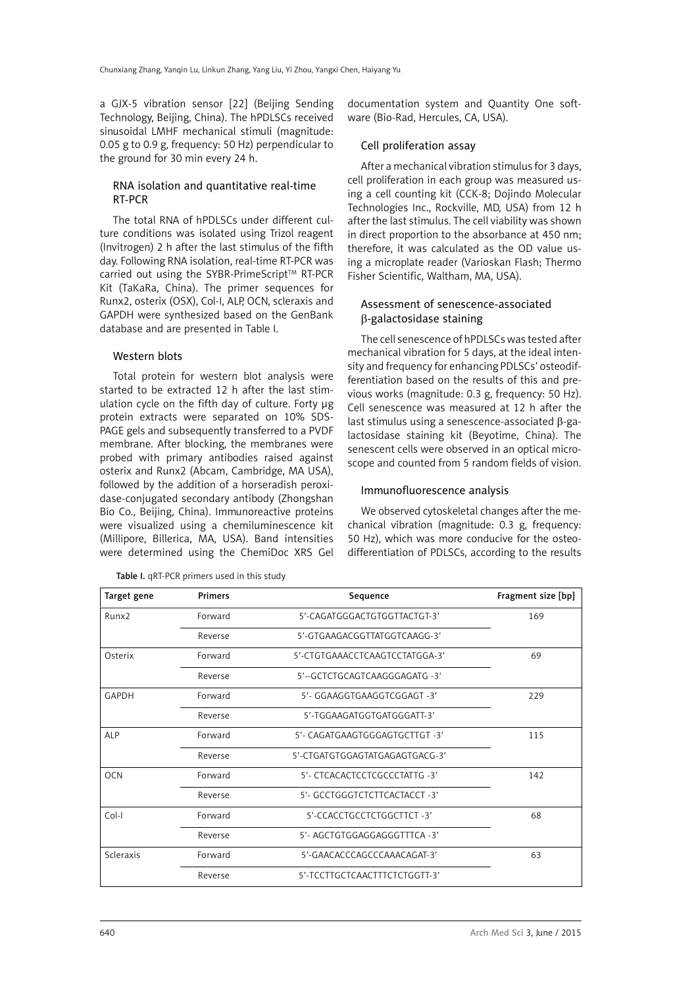a GJX-5 vibration sensor [22] (Beijing Sending Technology, Beijing, China). The hPDLSCs received sinusoidal LMHF mechanical stimuli (magnitude: 0.05 g to 0.9 g, frequency: 50 Hz) perpendicular to the ground for 30 min every 24 h.

# RNA isolation and quantitative real-time RT-PCR

The total RNA of hPDLSCs under different culture conditions was isolated using Trizol reagent (Invitrogen) 2 h after the last stimulus of the fifth day. Following RNA isolation, real-time RT-PCR was carried out using the SYBR-PrimeScript™ RT-PCR Kit (TaKaRa, China). The primer sequences for Runx2, osterix (OSX), Col-I, ALP, OCN, scleraxis and GAPDH were synthesized based on the GenBank database and are presented in Table I.

## Western blots

Total protein for western blot analysis were started to be extracted 12 h after the last stimulation cycle on the fifth day of culture. Forty µg protein extracts were separated on 10% SDS-PAGE gels and subsequently transferred to a PVDF membrane. After blocking, the membranes were probed with primary antibodies raised against osterix and Runx2 (Abcam, Cambridge, MA USA), followed by the addition of a horseradish peroxidase-conjugated secondary antibody (Zhongshan Bio Co., Beijing, China). Immunoreactive proteins were visualized using a chemiluminescence kit (Millipore, Billerica, MA, USA). Band intensities were determined using the ChemiDoc XRS Gel documentation system and Quantity One software (Bio-Rad, Hercules, CA, USA).

## Cell proliferation assay

After a mechanical vibration stimulus for 3 days, cell proliferation in each group was measured using a cell counting kit (CCK-8; Dojindo Molecular Technologies Inc., Rockville, MD, USA) from 12 h after the last stimulus. The cell viability was shown in direct proportion to the absorbance at 450 nm; therefore, it was calculated as the OD value using a microplate reader (Varioskan Flash; Thermo Fisher Scientific, Waltham, MA, USA).

## Assessment of senescence-associated b-galactosidase staining

The cell senescence of hPDLSCs was tested after mechanical vibration for 5 days, at the ideal intensity and frequency for enhancing PDLSCs' osteodifferentiation based on the results of this and previous works (magnitude: 0.3 g, frequency: 50 Hz). Cell senescence was measured at 12 h after the last stimulus using a senescence-associated B-galactosidase staining kit (Beyotime, China). The senescent cells were observed in an optical microscope and counted from 5 random fields of vision.

## Immunofluorescence analysis

We observed cytoskeletal changes after the mechanical vibration (magnitude: 0.3 g, frequency: 50 Hz), which was more conducive for the osteodifferentiation of PDLSCs, according to the results

| Target gene       | <b>Primers</b> | Sequence                       | Fragment size [bp] |
|-------------------|----------------|--------------------------------|--------------------|
| Runx <sub>2</sub> | Forward        | 5'-CAGATGGGACTGTGGTTACTGT-3'   | 169                |
|                   | Reverse        | 5'-GTGAAGACGGTTATGGTCAAGG-3'   |                    |
| Osterix           | Forward        | 5'-CTGTGAAACCTCAAGTCCTATGGA-3' | 69                 |
|                   | Reverse        | 5'--GCTCTGCAGTCAAGGGAGATG -3'  |                    |
| GAPDH             | Forward        | 5'- GGAAGGTGAAGGTCGGAGT -3'    | 229                |
|                   | Reverse        | 5'-TGGAAGATGGTGATGGGATT-3'     |                    |
| ALP               | Forward        | 5'- CAGATGAAGTGGGAGTGCTTGT -3' | 115                |
|                   | Reverse        | 5'-CTGATGTGGAGTATGAGAGTGACG-3' |                    |
| <b>OCN</b>        | Forward        | 5'- CTCACACTCCTCGCCCTATTG -3'  | 142                |
|                   | Reverse        | 5'- GCCTGGGTCTCTTCACTACCT -3'  |                    |
| Col-I             | Forward        | 5'-CCACCTGCCTCTGGCTTCT-3'      | 68                 |
|                   | Reverse        | 5'- AGCTGTGGAGGAGGGTTTCA -3'   |                    |
| Scleraxis         | Forward        | 5'-GAACACCCAGCCCAAACAGAT-3'    | 63                 |
|                   | Reverse        | 5'-TCCTTGCTCAACTTTCTCTGGTT-3'  |                    |

Table I. aRT-PCR primers used in this study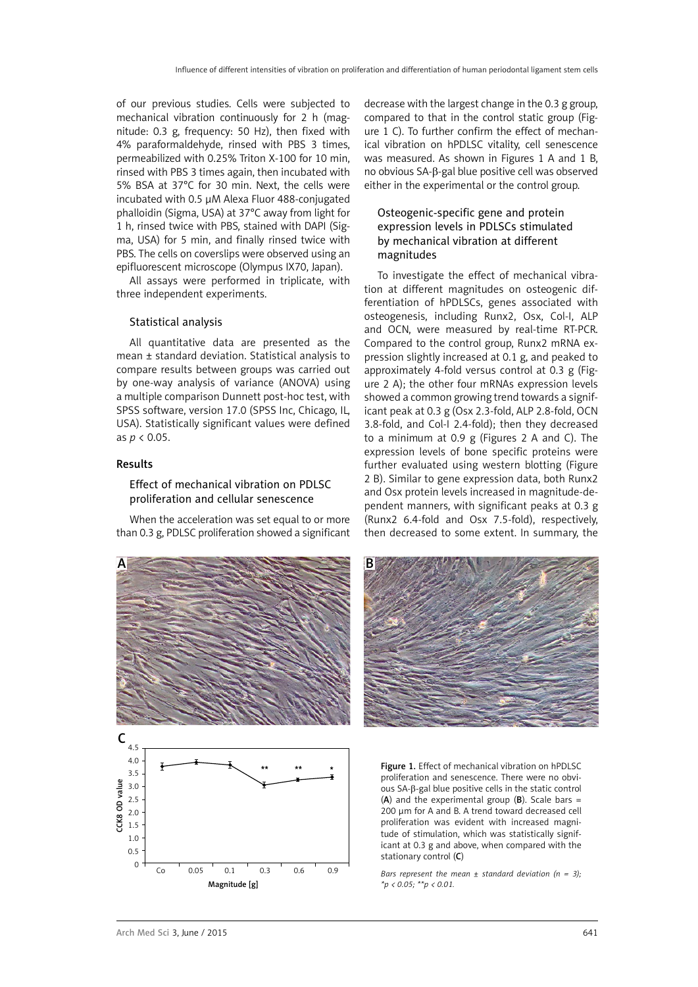of our previous studies. Cells were subjected to mechanical vibration continuously for 2 h (magnitude: 0.3 g, frequency: 50 Hz), then fixed with 4% paraformaldehyde, rinsed with PBS 3 times, permeabilized with 0.25% Triton X-100 for 10 min, rinsed with PBS 3 times again, then incubated with 5% BSA at 37°C for 30 min. Next, the cells were incubated with 0.5 µM Alexa Fluor 488-conjugated phalloidin (Sigma, USA) at 37°C away from light for 1 h, rinsed twice with PBS, stained with DAPI (Sigma, USA) for 5 min, and finally rinsed twice with PBS. The cells on coverslips were observed using an epifluorescent microscope (Olympus IX70, Japan).

All assays were performed in triplicate, with three independent experiments.

#### Statistical analysis

All quantitative data are presented as the mean ± standard deviation. Statistical analysis to compare results between groups was carried out by one-way analysis of variance (ANOVA) using a multiple comparison Dunnett post-hoc test, with SPSS software, version 17.0 (SPSS Inc, Chicago, IL, USA). Statistically significant values were defined as *p* < 0.05.

#### Results

## Effect of mechanical vibration on PDLSC proliferation and cellular senescence

When the acceleration was set equal to or more than 0.3 g, PDLSC proliferation showed a significant decrease with the largest change in the 0.3 g group, compared to that in the control static group (Figure 1 C). To further confirm the effect of mechanical vibration on hPDLSC vitality, cell senescence was measured. As shown in Figures 1 A and 1 B, no obvious SA-β-gal blue positive cell was observed either in the experimental or the control group.

# Osteogenic-specific gene and protein expression levels in PDLSCs stimulated by mechanical vibration at different magnitudes

To investigate the effect of mechanical vibration at different magnitudes on osteogenic differentiation of hPDLSCs, genes associated with osteogenesis, including Runx2, Osx, Col-I, ALP and OCN, were measured by real-time RT-PCR. Compared to the control group, Runx2 mRNA expression slightly increased at 0.1 g, and peaked to approximately 4-fold versus control at 0.3 g (Figure 2 A); the other four mRNAs expression levels showed a common growing trend towards a significant peak at 0.3 g (Osx 2.3-fold, ALP 2.8-fold, OCN 3.8-fold, and Col-I 2.4-fold); then they decreased to a minimum at 0.9 g (Figures 2 A and C). The expression levels of bone specific proteins were further evaluated using western blotting (Figure 2 B). Similar to gene expression data, both Runx2 and Osx protein levels increased in magnitude-dependent manners, with significant peaks at 0.3 g (Runx2 6.4-fold and Osx 7.5-fold), respectively, then decreased to some extent. In summary, the





Figure 1. Effect of mechanical vibration on hPDLSC proliferation and senescence. There were no obvious SA-β-gal blue positive cells in the static control (A) and the experimental group  $(B)$ . Scale bars = 200 µm for A and B. A trend toward decreased cell proliferation was evident with increased magnitude of stimulation, which was statistically significant at 0.3 g and above, when compared with the stationary control (C)

*Bars represent the mean ± standard deviation (n = 3); \*p < 0.05; \*\*p < 0.01.*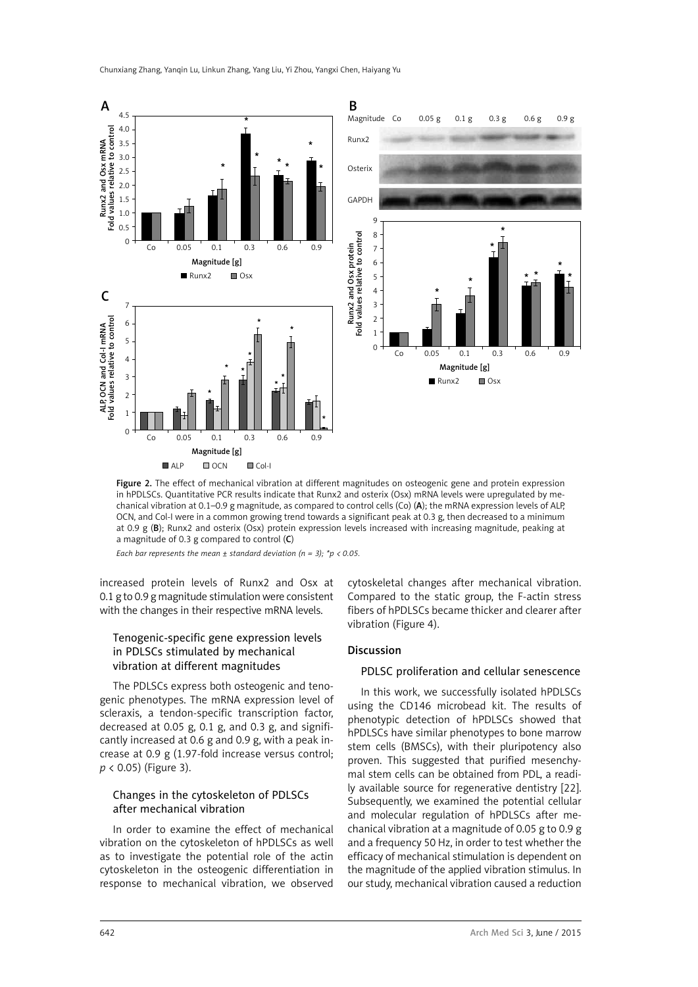

Figure 2. The effect of mechanical vibration at different magnitudes on osteogenic gene and protein expression in hPDLSCs. Quantitative PCR results indicate that Runx2 and osterix (Osx) mRNA levels were upregulated by mechanical vibration at 0.1–0.9 g magnitude, as compared to control cells (Co) (A); the mRNA expression levels of ALP, OCN, and Col-I were in a common growing trend towards a significant peak at 0.3 g, then decreased to a minimum at 0.9 g (B); Runx2 and osterix (Osx) protein expression levels increased with increasing magnitude, peaking at a magnitude of 0.3 g compared to control (C)

*Each bar represents the mean ± standard deviation (n = 3); \*p < 0.05.*

increased protein levels of Runx2 and Osx at 0.1 g to 0.9 g magnitude stimulation were consistent with the changes in their respective mRNA levels.

## Tenogenic-specific gene expression levels in PDLSCs stimulated by mechanical vibration at different magnitudes

The PDLSCs express both osteogenic and tenogenic phenotypes. The mRNA expression level of scleraxis, a tendon-specific transcription factor, decreased at 0.05 g, 0.1 g, and 0.3 g, and significantly increased at 0.6 g and 0.9 g, with a peak increase at 0.9 g (1.97-fold increase versus control; *p* < 0.05) (Figure 3).

# Changes in the cytoskeleton of PDLSCs after mechanical vibration

In order to examine the effect of mechanical vibration on the cytoskeleton of hPDLSCs as well as to investigate the potential role of the actin cytoskeleton in the osteogenic differentiation in response to mechanical vibration, we observed cytoskeletal changes after mechanical vibration. Compared to the static group, the F-actin stress fibers of hPDLSCs became thicker and clearer after vibration (Figure 4).

## **Discussion**

## PDLSC proliferation and cellular senescence

In this work, we successfully isolated hPDLSCs using the CD146 microbead kit. The results of phenotypic detection of hPDLSCs showed that hPDLSCs have similar phenotypes to bone marrow stem cells (BMSCs), with their pluripotency also proven. This suggested that purified mesenchymal stem cells can be obtained from PDL, a readily available source for regenerative dentistry [22]. Subsequently, we examined the potential cellular and molecular regulation of hPDLSCs after mechanical vibration at a magnitude of 0.05 g to 0.9 g and a frequency 50 Hz, in order to test whether the efficacy of mechanical stimulation is dependent on the magnitude of the applied vibration stimulus. In our study, mechanical vibration caused a reduction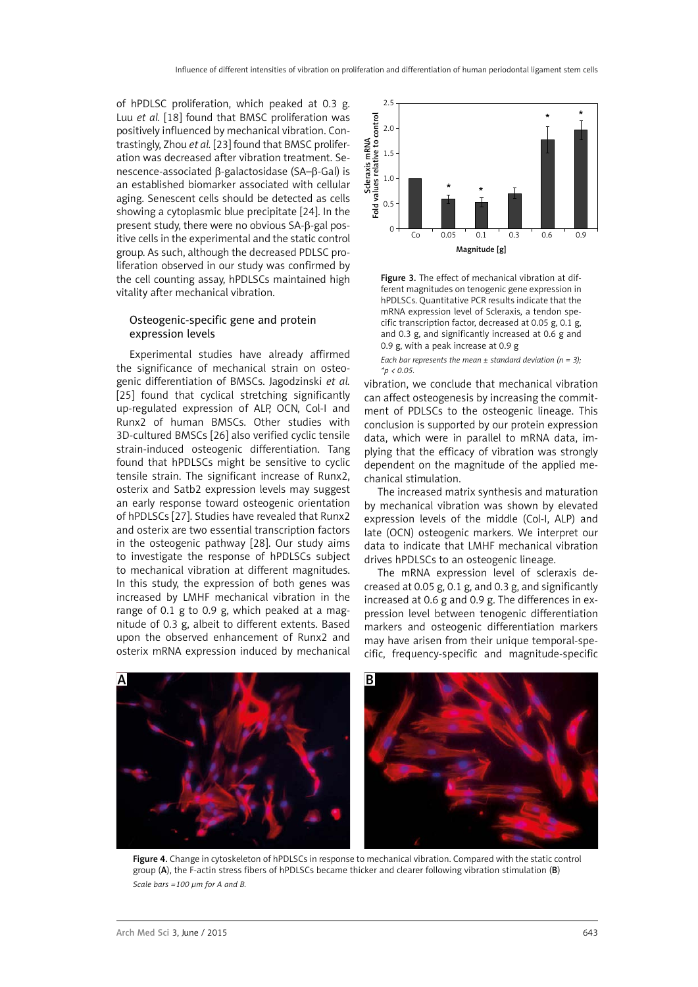of hPDLSC proliferation, which peaked at 0.3 g. Luu *et al.* [18] found that BMSC proliferation was positively influenced by mechanical vibration. Contrastingly, Zhou *et al.* [23] found that BMSC proliferation was decreased after vibration treatment. Senescence-associated β-galactosidase (SA–β-Gal) is an established biomarker associated with cellular aging. Senescent cells should be detected as cells showing a cytoplasmic blue precipitate [24]. In the present study, there were no obvious SA-β-gal positive cells in the experimental and the static control group. As such, although the decreased PDLSC proliferation observed in our study was confirmed by the cell counting assay, hPDLSCs maintained high vitality after mechanical vibration.

## Osteogenic-specific gene and protein expression levels

Experimental studies have already affirmed the significance of mechanical strain on osteogenic differentiation of BMSCs. Jagodzinski *et al.* [25] found that cyclical stretching significantly up-regulated expression of ALP, OCN, Col-I and Runx2 of human BMSCs. Other studies with 3D-cultured BMSCs [26] also verified cyclic tensile strain-induced osteogenic differentiation. Tang found that hPDLSCs might be sensitive to cyclic tensile strain. The significant increase of Runx2, osterix and Satb2 expression levels may suggest an early response toward osteogenic orientation of hPDLSCs [27]. Studies have revealed that Runx2 and osterix are two essential transcription factors in the osteogenic pathway [28]. Our study aims to investigate the response of hPDLSCs subject to mechanical vibration at different magnitudes. In this study, the expression of both genes was increased by LMHF mechanical vibration in the range of 0.1 g to 0.9 g, which peaked at a magnitude of 0.3 g, albeit to different extents. Based upon the observed enhancement of Runx2 and osterix mRNA expression induced by mechanical



Figure 3. The effect of mechanical vibration at different magnitudes on tenogenic gene expression in hPDLSCs. Quantitative PCR results indicate that the mRNA expression level of Scleraxis, a tendon specific transcription factor, decreased at 0.05 g, 0.1 g, and 0.3 g, and significantly increased at 0.6 g and 0.9 g, with a peak increase at 0.9 g

*Each bar represents the mean ± standard deviation (n = 3); \*p < 0.05.*

vibration, we conclude that mechanical vibration can affect osteogenesis by increasing the commitment of PDLSCs to the osteogenic lineage. This conclusion is supported by our protein expression data, which were in parallel to mRNA data, implying that the efficacy of vibration was strongly dependent on the magnitude of the applied mechanical stimulation.

The increased matrix synthesis and maturation by mechanical vibration was shown by elevated expression levels of the middle (Col-I, ALP) and late (OCN) osteogenic markers. We interpret our data to indicate that LMHF mechanical vibration drives hPDLSCs to an osteogenic lineage.

The mRNA expression level of scleraxis decreased at 0.05 g, 0.1 g, and 0.3 g, and significantly increased at 0.6 g and 0.9 g. The differences in expression level between tenogenic differentiation markers and osteogenic differentiation markers may have arisen from their unique temporal-specific, frequency-specific and magnitude-specific



Figure 4. Change in cytoskeleton of hPDLSCs in response to mechanical vibration. Compared with the static control group (A), the F-actin stress fibers of hPDLSCs became thicker and clearer following vibration stimulation (B) *Scale bars =100 µm for A and B.*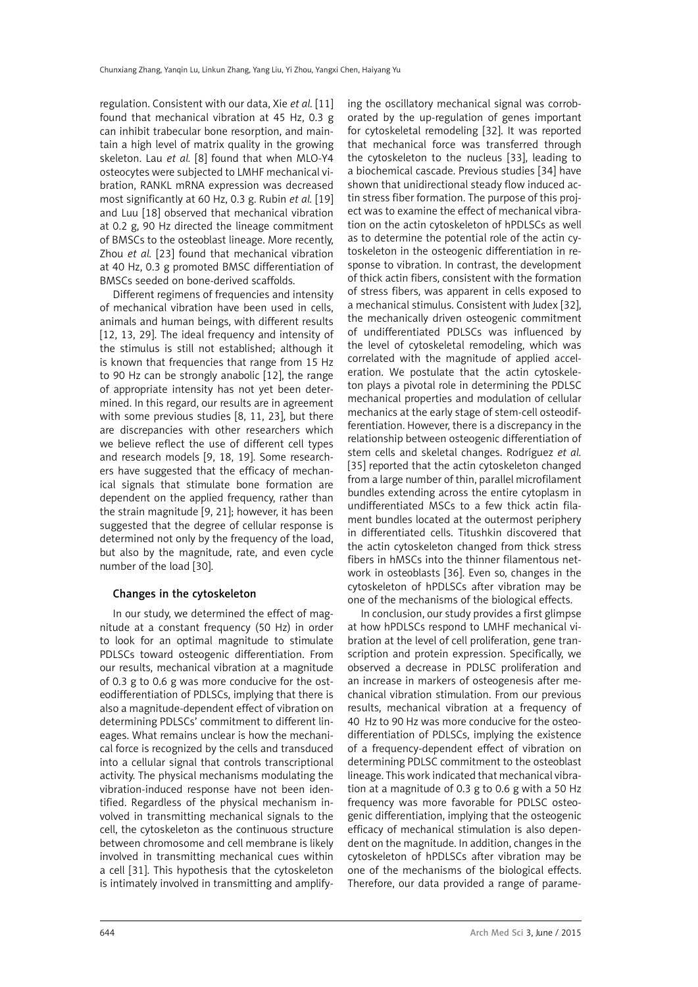regulation. Consistent with our data, Xie *et al.* [11] found that mechanical vibration at 45 Hz, 0.3 g can inhibit trabecular bone resorption, and maintain a high level of matrix quality in the growing skeleton. Lau *et al.* [8] found that when MLO-Y4 osteocytes were subjected to LMHF mechanical vibration, RANKL mRNA expression was decreased most significantly at 60 Hz, 0.3 g. Rubin *et al.* [19] and Luu [18] observed that mechanical vibration at 0.2 g, 90 Hz directed the lineage commitment of BMSCs to the osteoblast lineage. More recently, Zhou *et al.* [23] found that mechanical vibration at 40 Hz, 0.3 g promoted BMSC differentiation of BMSCs seeded on bone-derived scaffolds.

Different regimens of frequencies and intensity of mechanical vibration have been used in cells, animals and human beings, with different results [12, 13, 29]. The ideal frequency and intensity of the stimulus is still not established; although it is known that frequencies that range from 15 Hz to 90 Hz can be strongly anabolic [12], the range of appropriate intensity has not yet been determined. In this regard, our results are in agreement with some previous studies [8, 11, 23], but there are discrepancies with other researchers which we believe reflect the use of different cell types and research models [9, 18, 19]. Some researchers have suggested that the efficacy of mechanical signals that stimulate bone formation are dependent on the applied frequency, rather than the strain magnitude [9, 21]; however, it has been suggested that the degree of cellular response is determined not only by the frequency of the load, but also by the magnitude, rate, and even cycle number of the load [30].

## Changes in the cytoskeleton

In our study, we determined the effect of magnitude at a constant frequency (50 Hz) in order to look for an optimal magnitude to stimulate PDLSCs toward osteogenic differentiation. From our results, mechanical vibration at a magnitude of 0.3 g to 0.6 g was more conducive for the osteodifferentiation of PDLSCs, implying that there is also a magnitude-dependent effect of vibration on determining PDLSCs' commitment to different lineages. What remains unclear is how the mechanical force is recognized by the cells and transduced into a cellular signal that controls transcriptional activity. The physical mechanisms modulating the vibration-induced response have not been identified. Regardless of the physical mechanism involved in transmitting mechanical signals to the cell, the cytoskeleton as the continuous structure between chromosome and cell membrane is likely involved in transmitting mechanical cues within a cell [31]. This hypothesis that the cytoskeleton is intimately involved in transmitting and amplifying the oscillatory mechanical signal was corroborated by the up-regulation of genes important for cytoskeletal remodeling [32]. It was reported that mechanical force was transferred through the cytoskeleton to the nucleus [33], leading to a biochemical cascade. Previous studies [34] have shown that unidirectional steady flow induced actin stress fiber formation. The purpose of this project was to examine the effect of mechanical vibration on the actin cytoskeleton of hPDLSCs as well as to determine the potential role of the actin cytoskeleton in the osteogenic differentiation in response to vibration. In contrast, the development of thick actin fibers, consistent with the formation of stress fibers, was apparent in cells exposed to a mechanical stimulus. Consistent with Judex [32], the mechanically driven osteogenic commitment of undifferentiated PDLSCs was influenced by the level of cytoskeletal remodeling, which was correlated with the magnitude of applied acceleration. We postulate that the actin cytoskeleton plays a pivotal role in determining the PDLSC mechanical properties and modulation of cellular mechanics at the early stage of stem-cell osteodifferentiation. However, there is a discrepancy in the relationship between osteogenic differentiation of stem cells and skeletal changes. Rodríguez *et al.* [35] reported that the actin cytoskeleton changed from a large number of thin, parallel microfilament bundles extending across the entire cytoplasm in undifferentiated MSCs to a few thick actin filament bundles located at the outermost periphery in differentiated cells. Titushkin discovered that the actin cytoskeleton changed from thick stress fibers in hMSCs into the thinner filamentous network in osteoblasts [36]. Even so, changes in the cytoskeleton of hPDLSCs after vibration may be one of the mechanisms of the biological effects.

In conclusion, our study provides a first glimpse at how hPDLSCs respond to LMHF mechanical vibration at the level of cell proliferation, gene transcription and protein expression. Specifically, we observed a decrease in PDLSC proliferation and an increase in markers of osteogenesis after mechanical vibration stimulation. From our previous results, mechanical vibration at a frequency of 40 Hz to 90 Hz was more conducive for the osteodifferentiation of PDLSCs, implying the existence of a frequency-dependent effect of vibration on determining PDLSC commitment to the osteoblast lineage. This work indicated that mechanical vibration at a magnitude of 0.3 g to 0.6 g with a 50 Hz frequency was more favorable for PDLSC osteogenic differentiation, implying that the osteogenic efficacy of mechanical stimulation is also dependent on the magnitude. In addition, changes in the cytoskeleton of hPDLSCs after vibration may be one of the mechanisms of the biological effects. Therefore, our data provided a range of parame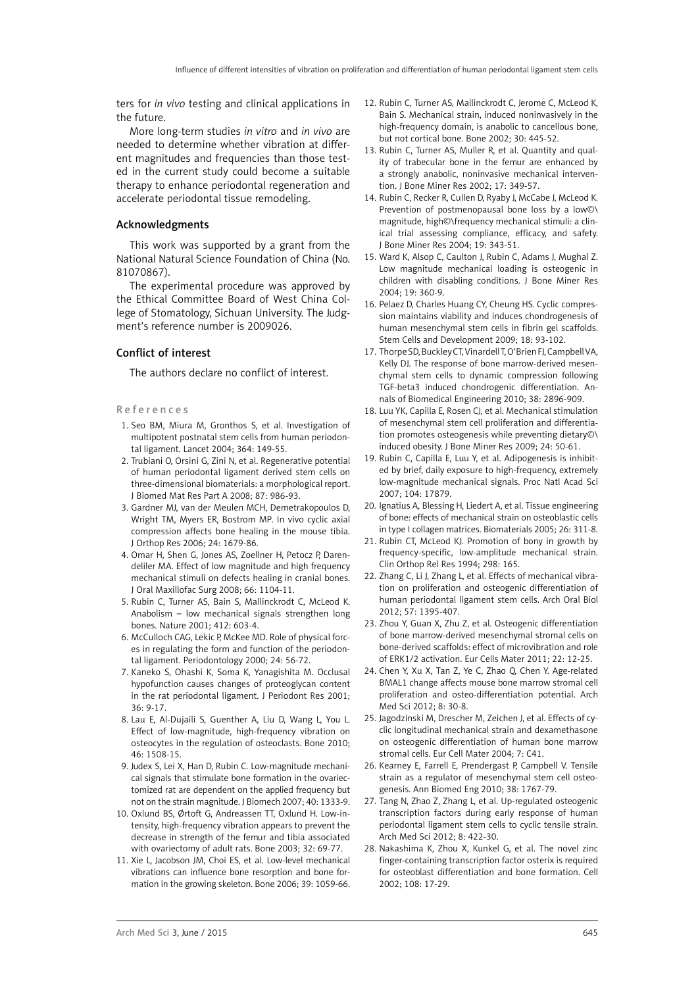ters for *in vivo* testing and clinical applications in the future.

More long-term studies *in vitro* and *in vivo* are needed to determine whether vibration at different magnitudes and frequencies than those tested in the current study could become a suitable therapy to enhance periodontal regeneration and accelerate periodontal tissue remodeling.

## Acknowledgments

This work was supported by a grant from the National Natural Science Foundation of China (No. 81070867).

The experimental procedure was approved by the Ethical Committee Board of West China College of Stomatology, Sichuan University. The Judgment's reference number is 2009026.

# Conflict of interest

The authors declare no conflict of interest.

#### References

- 1. Seo BM, Miura M, Gronthos S, et al. Investigation of multipotent postnatal stem cells from human periodontal ligament. Lancet 2004; 364: 149-55.
- 2. Trubiani O, Orsini G, Zini N, et al. Regenerative potential of human periodontal ligament derived stem cells on three-dimensional biomaterials: a morphological report. J Biomed Mat Res Part A 2008; 87: 986-93.
- 3. Gardner MJ, van der Meulen MCH, Demetrakopoulos D, Wright TM, Myers ER, Bostrom MP. In vivo cyclic axial compression affects bone healing in the mouse tibia. J Orthop Res 2006; 24: 1679-86.
- 4. Omar H, Shen G, Jones AS, Zoellner H, Petocz P, Darendeliler MA. Effect of low magnitude and high frequency mechanical stimuli on defects healing in cranial bones. J Oral Maxillofac Surg 2008; 66: 1104-11.
- 5. Rubin C, Turner AS, Bain S, Mallinckrodt C, McLeod K. Anabolism – low mechanical signals strengthen long bones. Nature 2001; 412: 603-4.
- 6. McCulloch CAG, Lekic P, McKee MD. Role of physical forces in regulating the form and function of the periodontal ligament. Periodontology 2000; 24: 56-72.
- 7. Kaneko S, Ohashi K, Soma K, Yanagishita M. Occlusal hypofunction causes changes of proteoglycan content in the rat periodontal ligament. J Periodont Res 2001; 36: 9-17.
- 8. Lau E, Al-Dujaili S, Guenther A, Liu D, Wang L, You L. Effect of low-magnitude, high-frequency vibration on osteocytes in the regulation of osteoclasts. Bone 2010; 46: 1508-15.
- 9. Judex S, Lei X, Han D, Rubin C. Low-magnitude mechanical signals that stimulate bone formation in the ovariectomized rat are dependent on the applied frequency but not on the strain magnitude. J Biomech 2007; 40: 1333-9.
- 10. Oxlund BS, Ørtoft G, Andreassen TT, Oxlund H. Low-intensity, high-frequency vibration appears to prevent the decrease in strength of the femur and tibia associated with ovariectomy of adult rats. Bone 2003; 32: 69-77.
- 11. Xie L, Jacobson JM, Choi ES, et al. Low-level mechanical vibrations can influence bone resorption and bone formation in the growing skeleton. Bone 2006; 39: 1059-66.
- 12. Rubin C, Turner AS, Mallinckrodt C, Jerome C, McLeod K, Bain S. Mechanical strain, induced noninvasively in the high-frequency domain, is anabolic to cancellous bone, but not cortical bone. Bone 2002; 30: 445-52.
- 13. Rubin C, Turner AS, Muller R, et al. Quantity and quality of trabecular bone in the femur are enhanced by a strongly anabolic, noninvasive mechanical intervention. J Bone Miner Res 2002; 17: 349-57.
- 14. Rubin C, Recker R, Cullen D, Ryaby J, McCabe J, McLeod K. Prevention of postmenopausal bone loss by a low©\ magnitude, high©\frequency mechanical stimuli: a clinical trial assessing compliance, efficacy, and safety. J Bone Miner Res 2004; 19: 343-51.
- 15. Ward K, Alsop C, Caulton J, Rubin C, Adams J, Mughal Z. Low magnitude mechanical loading is osteogenic in children with disabling conditions. J Bone Miner Res 2004; 19: 360-9.
- 16. Pelaez D, Charles Huang CY, Cheung HS. Cyclic compression maintains viability and induces chondrogenesis of human mesenchymal stem cells in fibrin gel scaffolds. Stem Cells and Development 2009; 18: 93-102.
- 17. Thorpe SD, Buckley CT, Vinardell T, O'Brien FJ, Campbell VA, Kelly DJ. The response of bone marrow-derived mesenchymal stem cells to dynamic compression following TGF-beta3 induced chondrogenic differentiation. Annals of Biomedical Engineering 2010; 38: 2896-909.
- 18. Luu YK, Capilla E, Rosen CJ, et al. Mechanical stimulation of mesenchymal stem cell proliferation and differentiation promotes osteogenesis while preventing dietary©\ induced obesity. J Bone Miner Res 2009; 24: 50-61.
- 19. Rubin C, Capilla E, Luu Y, et al. Adipogenesis is inhibited by brief, daily exposure to high-frequency, extremely low-magnitude mechanical signals. Proc Natl Acad Sci 2007; 104: 17879.
- 20. Ignatius A, Blessing H, Liedert A, et al. Tissue engineering of bone: effects of mechanical strain on osteoblastic cells in type I collagen matrices. Biomaterials 2005; 26: 311-8.
- 21. Rubin CT, McLeod KJ. Promotion of bony in growth by frequency-specific, low-amplitude mechanical strain. Clin Orthop Rel Res 1994; 298: 165.
- 22. Zhang C, Li J, Zhang L, et al. Effects of mechanical vibration on proliferation and osteogenic differentiation of human periodontal ligament stem cells. Arch Oral Biol 2012; 57: 1395-407.
- 23. Zhou Y, Guan X, Zhu Z, et al. Osteogenic differentiation of bone marrow-derived mesenchymal stromal cells on bone-derived scaffolds: effect of microvibration and role of ERK1/2 activation. Eur Cells Mater 2011; 22: 12-25.
- 24. Chen Y, Xu X, Tan Z, Ye C, Zhao Q, Chen Y. Age-related BMAL1 change affects mouse bone marrow stromal cell proliferation and osteo-differentiation potential. Arch Med Sci 2012; 8: 30-8.
- 25. Jagodzinski M, Drescher M, Zeichen J, et al. Effects of cyclic longitudinal mechanical strain and dexamethasone on osteogenic differentiation of human bone marrow stromal cells. Eur Cell Mater 2004; 7: C41.
- 26. Kearney E, Farrell E, Prendergast P, Campbell V. Tensile strain as a regulator of mesenchymal stem cell osteogenesis. Ann Biomed Eng 2010; 38: 1767-79.
- 27. Tang N, Zhao Z, Zhang L, et al. Up-regulated osteogenic transcription factors during early response of human periodontal ligament stem cells to cyclic tensile strain. Arch Med Sci 2012; 8: 422-30.
- 28. Nakashima K, Zhou X, Kunkel G, et al. The novel zinc finger-containing transcription factor osterix is required for osteoblast differentiation and bone formation. Cell 2002; 108: 17-29.